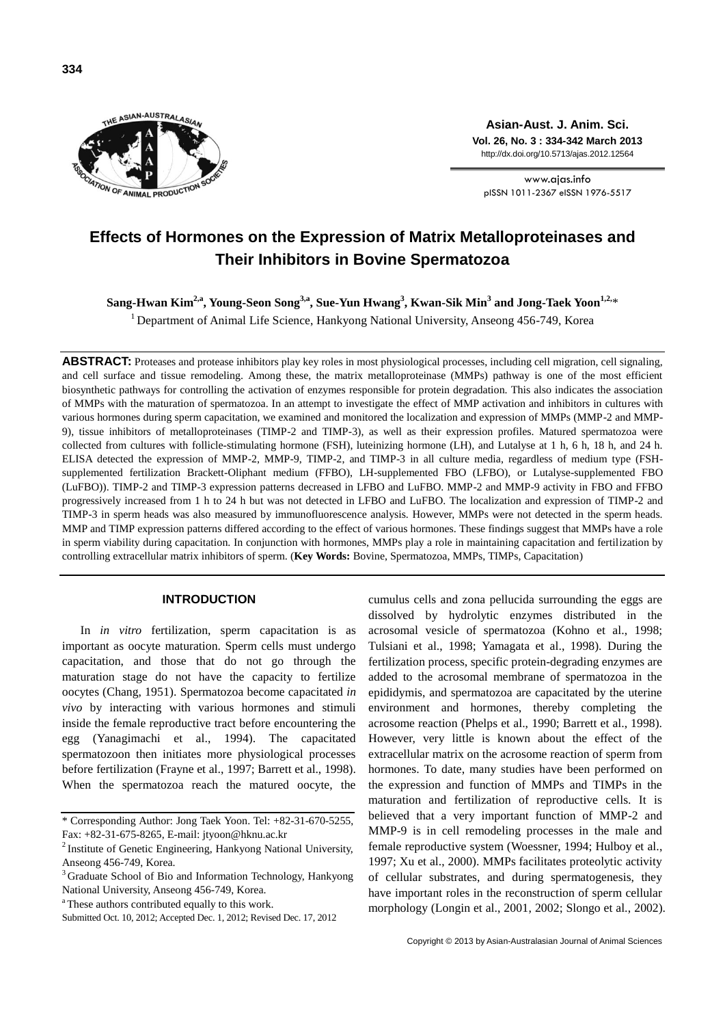

**Asian-Aust. J. Anim. Sci. Vol. 26, No. 3 : 334-342 March 2013** http://dx.doi.org/10.5713/ajas.2012.12564

www.ajas.info pISSN 1011-2367 eISSN 1976-5517

# **Effects of Hormones on the Expression of Matrix Metalloproteinases and Their Inhibitors in Bovine Spermatozoa**

**Sang-Hwan Kim2,a, Young-Seon Song3,a , Sue-Yun Hwang<sup>3</sup> , Kwan-Sik Min<sup>3</sup> and Jong-Taek Yoon1,2,**\*

<sup>1</sup> Department of Animal Life Science, Hankyong National University, Anseong 456-749, Korea

**ABSTRACT:** Proteases and protease inhibitors play key roles in most physiological processes, including cell migration, cell signaling, and cell surface and tissue remodeling. Among these, the matrix metalloproteinase (MMPs) pathway is one of the most efficient biosynthetic pathways for controlling the activation of enzymes responsible for protein degradation. This also indicates the association of MMPs with the maturation of spermatozoa. In an attempt to investigate the effect of MMP activation and inhibitors in cultures with various hormones during sperm capacitation, we examined and monitored the localization and expression of MMPs (MMP-2 and MMP-9), tissue inhibitors of metalloproteinases (TIMP-2 and TIMP-3), as well as their expression profiles. Matured spermatozoa were collected from cultures with follicle-stimulating hormone (FSH), luteinizing hormone (LH), and Lutalyse at 1 h, 6 h, 18 h, and 24 h. ELISA detected the expression of MMP-2, MMP-9, TIMP-2, and TIMP-3 in all culture media, regardless of medium type (FSHsupplemented fertilization Brackett-Oliphant medium (FFBO), LH-supplemented FBO (LFBO), or Lutalyse-supplemented FBO (LuFBO)). TIMP-2 and TIMP-3 expression patterns decreased in LFBO and LuFBO. MMP-2 and MMP-9 activity in FBO and FFBO progressively increased from 1 h to 24 h but was not detected in LFBO and LuFBO. The localization and expression of TIMP-2 and TIMP-3 in sperm heads was also measured by immunofluorescence analysis. However, MMPs were not detected in the sperm heads. MMP and TIMP expression patterns differed according to the effect of various hormones. These findings suggest that MMPs have a role in sperm viability during capacitation. In conjunction with hormones, MMPs play a role in maintaining capacitation and fertilization by controlling extracellular matrix inhibitors of sperm. (**Key Words:** Bovine, Spermatozoa, MMPs, TIMPs, Capacitation)

## **INTRODUCTION**

In *in vitro* fertilization, sperm capacitation is as important as oocyte maturation. Sperm cells must undergo capacitation, and those that do not go through the maturation stage do not have the capacity to fertilize oocytes (Chang, 1951). Spermatozoa become capacitated *in vivo* by interacting with various hormones and stimuli inside the female reproductive tract before encountering the egg (Yanagimachi et al., 1994). The capacitated spermatozoon then initiates more physiological processes before fertilization (Frayne et al., 1997; Barrett et al., 1998). When the spermatozoa reach the matured oocyte, the

cumulus cells and zona pellucida surrounding the eggs are dissolved by hydrolytic enzymes distributed in the acrosomal vesicle of spermatozoa (Kohno et al., 1998; Tulsiani et al., 1998; Yamagata et al., 1998). During the fertilization process, specific protein-degrading enzymes are added to the acrosomal membrane of spermatozoa in the epididymis, and spermatozoa are capacitated by the uterine environment and hormones, thereby completing the acrosome reaction (Phelps et al., 1990; Barrett et al., 1998). However, very little is known about the effect of the extracellular matrix on the acrosome reaction of sperm from hormones. To date, many studies have been performed on the expression and function of MMPs and TIMPs in the maturation and fertilization of reproductive cells. It is believed that a very important function of MMP-2 and MMP-9 is in cell remodeling processes in the male and female reproductive system (Woessner, 1994; Hulboy et al., 1997; Xu et al., 2000). MMPs facilitates proteolytic activity of cellular substrates, and during spermatogenesis, they have important roles in the reconstruction of sperm cellular morphology (Longin et al., 2001, 2002; Slongo et al., 2002).

<sup>\*</sup> Corresponding Author: Jong Taek Yoon. Tel: +82-31-670-5255, Fax: +82-31-675-8265, E-mail: jtyoon@hknu.ac.kr

<sup>&</sup>lt;sup>2</sup> Institute of Genetic Engineering, Hankyong National University, Anseong 456-749, Korea.

<sup>&</sup>lt;sup>3</sup> Graduate School of Bio and Information Technology, Hankyong National University, Anseong 456-749, Korea.

<sup>&</sup>lt;sup>a</sup>These authors contributed equally to this work.

Submitted Oct. 10, 2012; Accepted Dec. 1, 2012; Revised Dec. 17, 2012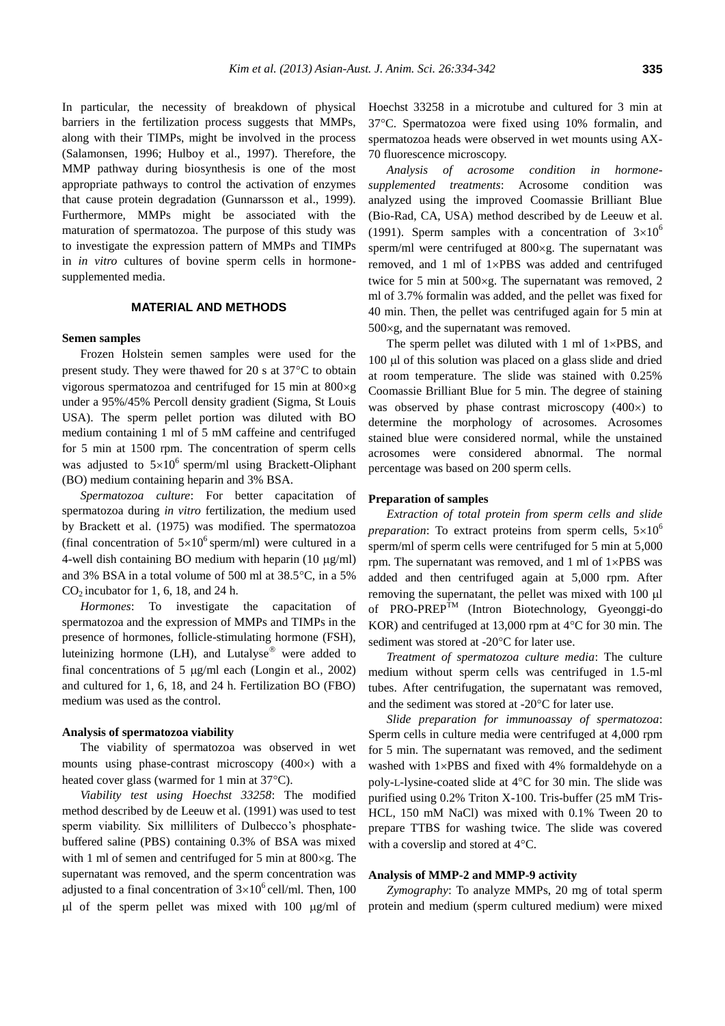In particular, the necessity of breakdown of physical barriers in the fertilization process suggests that MMPs, along with their TIMPs, might be involved in the process (Salamonsen, 1996; Hulboy et al., 1997). Therefore, the MMP pathway during biosynthesis is one of the most appropriate pathways to control the activation of enzymes that cause protein degradation (Gunnarsson et al., 1999). Furthermore, MMPs might be associated with the maturation of spermatozoa. The purpose of this study was to investigate the expression pattern of MMPs and TIMPs in *in vitro* cultures of bovine sperm cells in hormonesupplemented media.

#### **MATERIAL AND METHODS**

#### **Semen samples**

Frozen Holstein semen samples were used for the present study. They were thawed for 20 s at  $37^{\circ}$ C to obtain vigorous spermatozoa and centrifuged for 15 min at  $800 \times g$ under a 95%/45% Percoll density gradient (Sigma, St Louis USA). The sperm pellet portion was diluted with BO medium containing 1 ml of 5 mM caffeine and centrifuged for 5 min at 1500 rpm. The concentration of sperm cells was adjusted to  $5\times10^6$  sperm/ml using Brackett-Oliphant (BO) medium containing heparin and 3% BSA.

*Spermatozoa culture*: For better capacitation of spermatozoa during *in vitro* fertilization, the medium used by Brackett et al. (1975) was modified. The spermatozoa (final concentration of  $5\times10^6$  sperm/ml) were cultured in a 4-well dish containing BO medium with heparin  $(10 \mu g/ml)$ and 3% BSA in a total volume of 500 ml at  $38.5^{\circ}$ C, in a 5%  $CO<sub>2</sub>$  incubator for 1, 6, 18, and 24 h.

*Hormones*: To investigate the capacitation of spermatozoa and the expression of MMPs and TIMPs in the presence of hormones, follicle-stimulating hormone (FSH), luteinizing hormone (LH), and Lutalyse $^{\circ\circ}$  were added to final concentrations of 5  $\mu$ g/ml each (Longin et al., 2002) and cultured for 1, 6, 18, and 24 h. Fertilization BO (FBO) medium was used as the control.

### **Analysis of spermatozoa viability**

The viability of spermatozoa was observed in wet mounts using phase-contrast microscopy  $(400\times)$  with a heated cover glass (warmed for 1 min at  $37^{\circ}$ C).

*Viability test using Hoechst 33258*: The modified method described by de Leeuw et al. (1991) was used to test sperm viability. Six milliliters of Dulbecco's phosphatebuffered saline (PBS) containing 0.3% of BSA was mixed with 1 ml of semen and centrifuged for 5 min at  $800 \times g$ . The supernatant was removed, and the sperm concentration was adjusted to a final concentration of  $3\times10^6$  cell/ml. Then, 100  $\mu$ l of the sperm pellet was mixed with 100  $\mu$ g/ml of Hoechst 33258 in a microtube and cultured for 3 min at 37C. Spermatozoa were fixed using 10% formalin, and spermatozoa heads were observed in wet mounts using AX-70 fluorescence microscopy.

*Analysis of acrosome condition in hormonesupplemented treatments*: Acrosome condition was analyzed using the improved Coomassie Brilliant Blue (Bio-Rad, CA, USA) method described by de Leeuw et al. (1991). Sperm samples with a concentration of  $3\times10^{6}$ sperm/ml were centrifuged at  $800 \times g$ . The supernatant was removed, and 1 ml of  $1 \times PBS$  was added and centrifuged twice for 5 min at  $500 \times g$ . The supernatant was removed, 2 ml of 3.7% formalin was added, and the pellet was fixed for 40 min. Then, the pellet was centrifuged again for 5 min at  $500 \times g$ , and the supernatant was removed.

The sperm pellet was diluted with 1 ml of  $1 \times PBS$ , and  $100 \mu l$  of this solution was placed on a glass slide and dried at room temperature. The slide was stained with 0.25% Coomassie Brilliant Blue for 5 min. The degree of staining was observed by phase contrast microscopy  $(400\times)$  to determine the morphology of acrosomes. Acrosomes stained blue were considered normal, while the unstained acrosomes were considered abnormal. The normal percentage was based on 200 sperm cells.

#### **Preparation of samples**

*Extraction of total protein from sperm cells and slide preparation*: To extract proteins from sperm cells,  $5\times10^{6}$ sperm/ml of sperm cells were centrifuged for 5 min at 5,000 rpm. The supernatant was removed, and  $1 \text{ ml of } 1 \times PBS$  was added and then centrifuged again at 5,000 rpm. After removing the supernatant, the pellet was mixed with 100 µl of PRO-PREP<sup>TM</sup> (Intron Biotechnology, Gyeonggi-do KOR) and centrifuged at 13,000 rpm at  $4^{\circ}$ C for 30 min. The sediment was stored at -20°C for later use.

*Treatment of spermatozoa culture media*: The culture medium without sperm cells was centrifuged in 1.5-ml tubes. After centrifugation, the supernatant was removed, and the sediment was stored at -20°C for later use.

*Slide preparation for immunoassay of spermatozoa*: Sperm cells in culture media were centrifuged at 4,000 rpm for 5 min. The supernatant was removed, and the sediment washed with  $1\times$ PBS and fixed with 4% formaldehyde on a poly-L-lysine-coated slide at  $4^{\circ}$ C for 30 min. The slide was purified using 0.2% Triton X-100. Tris-buffer (25 mM Tris-HCL, 150 mM NaCl) was mixed with 0.1% Tween 20 to prepare TTBS for washing twice. The slide was covered with a coverslip and stored at  $4^{\circ}$ C.

#### **Analysis of MMP-2 and MMP-9 activity**

*Zymography*: To analyze MMPs, 20 mg of total sperm protein and medium (sperm cultured medium) were mixed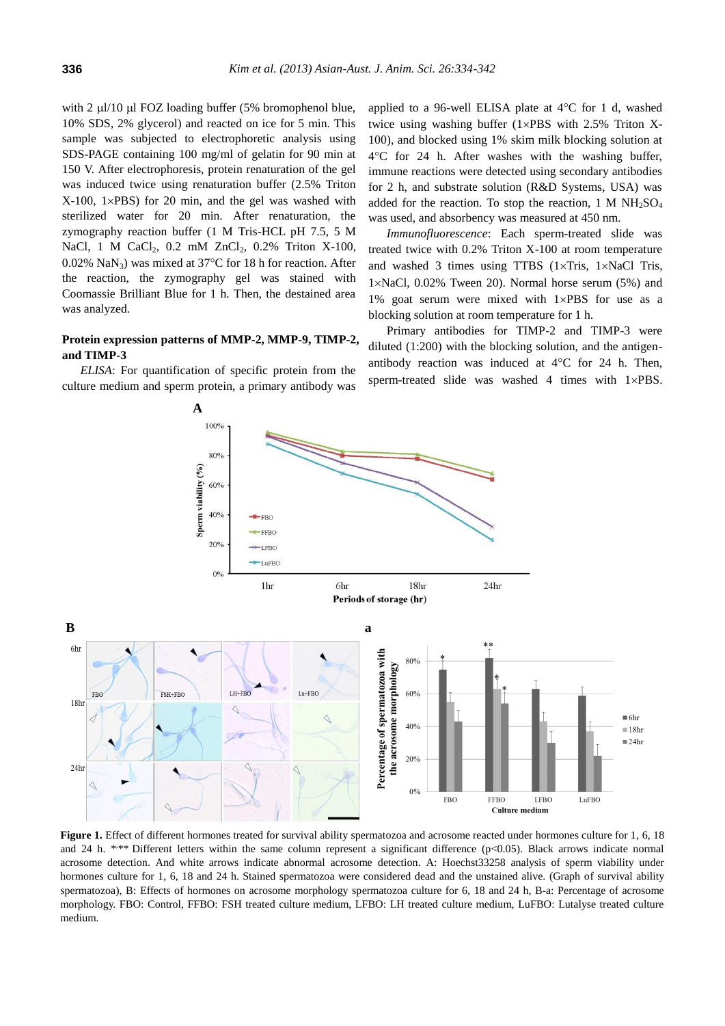with  $2 \mu l/10 \mu l$  FOZ loading buffer (5% bromophenol blue, 10% SDS, 2% glycerol) and reacted on ice for 5 min. This sample was subjected to electrophoretic analysis using SDS-PAGE containing 100 mg/ml of gelatin for 90 min at 150 V. After electrophoresis, protein renaturation of the gel was induced twice using renaturation buffer (2.5% Triton  $X-100$ ,  $1\times$ PBS) for 20 min, and the gel was washed with sterilized water for 20 min. After renaturation, the zymography reaction buffer (1 M Tris-HCL pH 7.5, 5 M NaCl, 1 M CaCl<sub>2</sub>, 0.2 mM ZnCl<sub>2</sub>, 0.2% Triton X-100, 0.02% NaN<sub>3</sub>) was mixed at  $37^{\circ}$ C for 18 h for reaction. After the reaction, the zymography gel was stained with Coomassie Brilliant Blue for 1 h. Then, the destained area was analyzed.

### **Protein expression patterns of MMP-2, MMP-9, TIMP-2, and TIMP-3**

*ELISA*: For quantification of specific protein from the culture medium and sperm protein, a primary antibody was

applied to a 96-well ELISA plate at  $4^{\circ}$ C for 1 d, washed twice using washing buffer  $(1\times PBS$  with 2.5% Triton X-100), and blocked using 1% skim milk blocking solution at 4C for 24 h. After washes with the washing buffer, immune reactions were detected using secondary antibodies for 2 h, and substrate solution (R&D Systems, USA) was added for the reaction. To stop the reaction, 1 M  $NH<sub>2</sub>SO<sub>4</sub>$ was used, and absorbency was measured at 450 nm.

*Immunofluorescence*: Each sperm-treated slide was treated twice with 0.2% Triton X-100 at room temperature and washed 3 times using TTBS  $(1 \times Tris, 1 \times NaCl$  Tris,  $1\times$ NaCl, 0.02% Tween 20). Normal horse serum (5%) and 1% goat serum were mixed with  $1 \times PBS$  for use as a blocking solution at room temperature for 1 h.

Primary antibodies for TIMP-2 and TIMP-3 were diluted (1:200) with the blocking solution, and the antigenantibody reaction was induced at  $4^{\circ}$ C for 24 h. Then, sperm-treated slide was washed 4 times with  $1\times$ PBS.



**Figure 1.** Effect of different hormones treated for survival ability spermatozoa and acrosome reacted under hormones culture for 1, 6, 18 and 24 h. \*\*\* Different letters within the same column represent a significant difference (p<0.05). Black arrows indicate normal acrosome detection. And white arrows indicate abnormal acrosome detection. A: Hoechst33258 analysis of sperm viability under hormones culture for 1, 6, 18 and 24 h. Stained spermatozoa were considered dead and the unstained alive. (Graph of survival ability spermatozoa), B: Effects of hormones on acrosome morphology spermatozoa culture for 6, 18 and 24 h, B-a: Percentage of acrosome morphology. FBO: Control, FFBO: FSH treated culture medium, LFBO: LH treated culture medium, LuFBO: Lutalyse treated culture medium.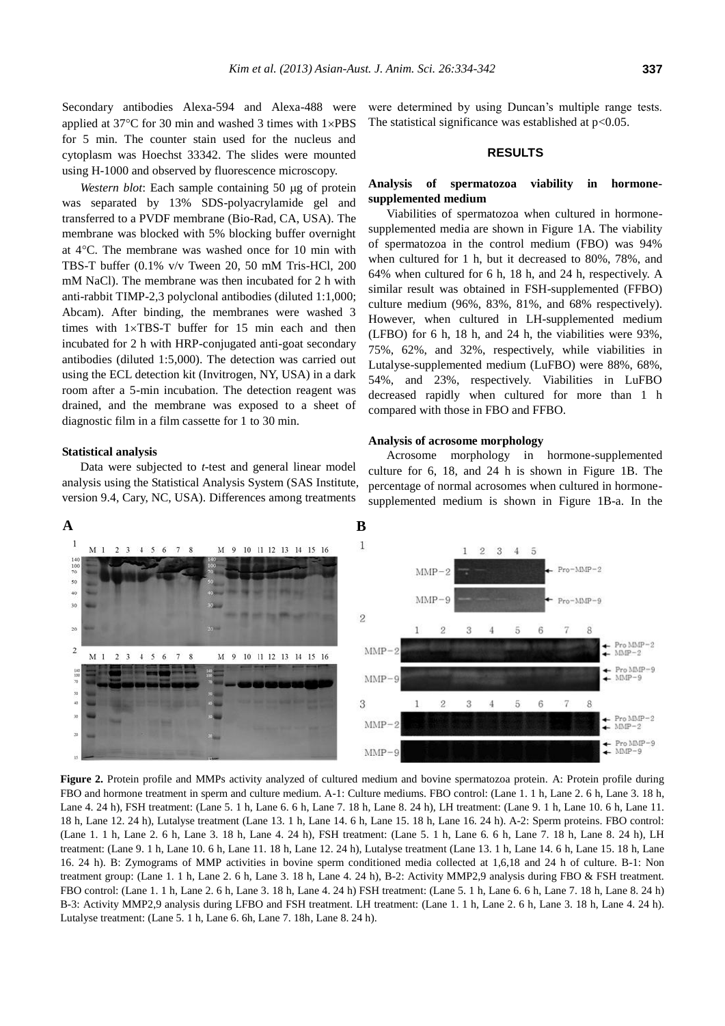Secondary antibodies Alexa-594 and Alexa-488 were applied at  $37^{\circ}$ C for 30 min and washed 3 times with  $1\times$ PBS for 5 min. The counter stain used for the nucleus and cytoplasm was Hoechst 33342. The slides were mounted using H-1000 and observed by fluorescence microscopy.

*Western blot*: Each sample containing 50 µg of protein was separated by 13% SDS-polyacrylamide gel and transferred to a PVDF membrane (Bio-Rad, CA, USA). The membrane was blocked with 5% blocking buffer overnight at  $4^{\circ}$ C. The membrane was washed once for 10 min with TBS-T buffer (0.1% v/v Tween 20, 50 mM Tris-HCl, 200 mM NaCl). The membrane was then incubated for 2 h with anti-rabbit TIMP-2,3 polyclonal antibodies (diluted 1:1,000; Abcam). After binding, the membranes were washed 3 times with  $1 \times TBS-T$  buffer for 15 min each and then incubated for 2 h with HRP-conjugated anti-goat secondary antibodies (diluted 1:5,000). The detection was carried out using the ECL detection kit (Invitrogen, NY, USA) in a dark room after a 5-min incubation. The detection reagent was drained, and the membrane was exposed to a sheet of diagnostic film in a film cassette for 1 to 30 min.

#### **Statistical analysis**

Data were subjected to *t*-test and general linear model analysis using the Statistical Analysis System (SAS Institute, version 9.4, Cary, NC, USA). Differences among treatments

were determined by using Duncan's multiple range tests. The statistical significance was established at  $p<0.05$ .

### **RESULTS**

### **Analysis of spermatozoa viability in hormonesupplemented medium**

Viabilities of spermatozoa when cultured in hormonesupplemented media are shown in Figure 1A. The viability of spermatozoa in the control medium (FBO) was 94% when cultured for 1 h, but it decreased to 80%, 78%, and 64% when cultured for 6 h, 18 h, and 24 h, respectively. A similar result was obtained in FSH-supplemented (FFBO) culture medium (96%, 83%, 81%, and 68% respectively). However, when cultured in LH-supplemented medium (LFBO) for 6 h, 18 h, and 24 h, the viabilities were 93%, 75%, 62%, and 32%, respectively, while viabilities in Lutalyse-supplemented medium (LuFBO) were 88%, 68%, 54%, and 23%, respectively. Viabilities in LuFBO decreased rapidly when cultured for more than 1 h compared with those in FBO and FFBO.

#### **Analysis of acrosome morphology**

Acrosome morphology in hormone-supplemented culture for 6, 18, and 24 h is shown in Figure 1B. The percentage of normal acrosomes when cultured in hormonesupplemented medium is shown in Figure 1B-a. In the



Figure 2. Protein profile and MMPs activity analyzed of cultured medium and bovine spermatozoa protein. A: Protein profile during FBO and hormone treatment in sperm and culture medium. A-1: Culture mediums. FBO control: (Lane 1. 1 h, Lane 2. 6 h, Lane 3. 18 h, Lane 4. 24 h), FSH treatment: (Lane 5. 1 h, Lane 6. 6 h, Lane 7. 18 h, Lane 8. 24 h), LH treatment: (Lane 9. 1 h, Lane 10. 6 h, Lane 11. 18 h, Lane 12. 24 h), Lutalyse treatment (Lane 13. 1 h, Lane 14. 6 h, Lane 15. 18 h, Lane 16. 24 h). A-2: Sperm proteins. FBO control: (Lane 1. 1 h, Lane 2. 6 h, Lane 3. 18 h, Lane 4. 24 h), FSH treatment: (Lane 5. 1 h, Lane 6. 6 h, Lane 7. 18 h, Lane 8. 24 h), LH treatment: (Lane 9. 1 h, Lane 10. 6 h, Lane 11. 18 h, Lane 12. 24 h), Lutalyse treatment (Lane 13. 1 h, Lane 14. 6 h, Lane 15. 18 h, Lane 16. 24 h). B: Zymograms of MMP activities in bovine sperm conditioned media collected at 1,6,18 and 24 h of culture. B-1: Non treatment group: (Lane 1. 1 h, Lane 2. 6 h, Lane 3. 18 h, Lane 4. 24 h), B-2: Activity MMP2,9 analysis during FBO & FSH treatment. FBO control: (Lane 1. 1 h, Lane 2. 6 h, Lane 3. 18 h, Lane 4. 24 h) FSH treatment: (Lane 5. 1 h, Lane 6. 6 h, Lane 7. 18 h, Lane 8. 24 h) B-3: Activity MMP2,9 analysis during LFBO and FSH treatment. LH treatment: (Lane 1. 1 h, Lane 2. 6 h, Lane 3. 18 h, Lane 4. 24 h). Lutalyse treatment: (Lane 5. 1 h, Lane 6. 6h, Lane 7. 18h, Lane 8. 24 h).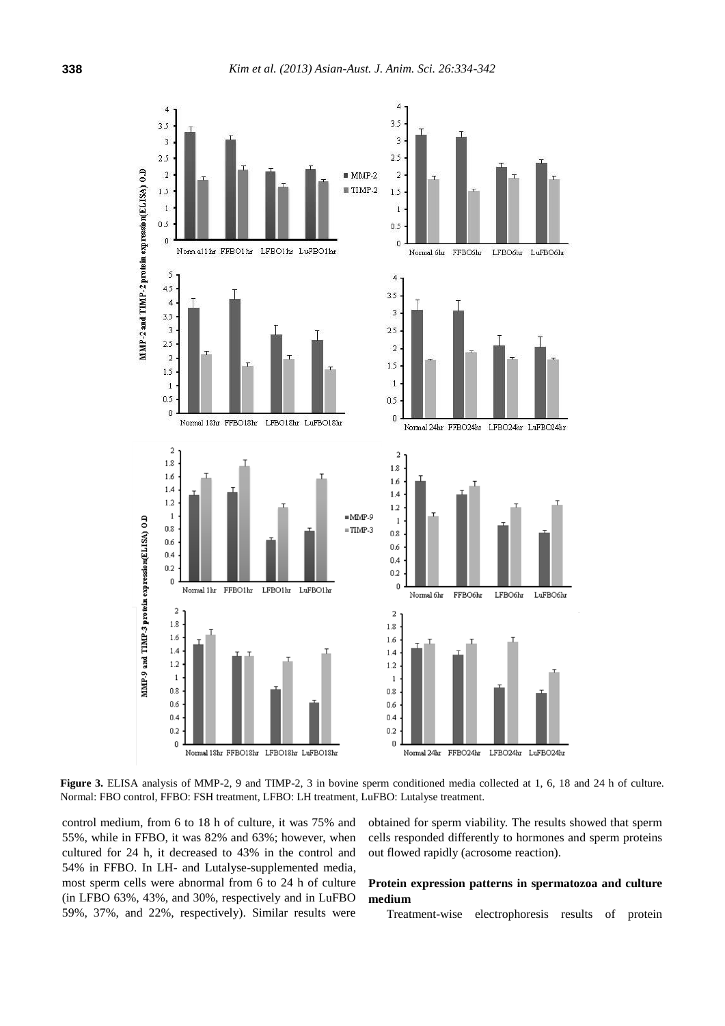

Figure 3. ELISA analysis of MMP-2, 9 and TIMP-2, 3 in bovine sperm conditioned media collected at 1, 6, 18 and 24 h of culture. Normal: FBO control, FFBO: FSH treatment, LFBO: LH treatment, LuFBO: Lutalyse treatment.

control medium, from 6 to 18 h of culture, it was 75% and 55%, while in FFBO, it was 82% and 63%; however, when cultured for 24 h, it decreased to 43% in the control and 54% in FFBO. In LH- and Lutalyse-supplemented media, most sperm cells were abnormal from 6 to 24 h of culture (in LFBO 63%, 43%, and 30%, respectively and in LuFBO 59%, 37%, and 22%, respectively). Similar results were

obtained for sperm viability. The results showed that sperm cells responded differently to hormones and sperm proteins out flowed rapidly (acrosome reaction).

### **Protein expression patterns in spermatozoa and culture medium**

Treatment-wise electrophoresis results of protein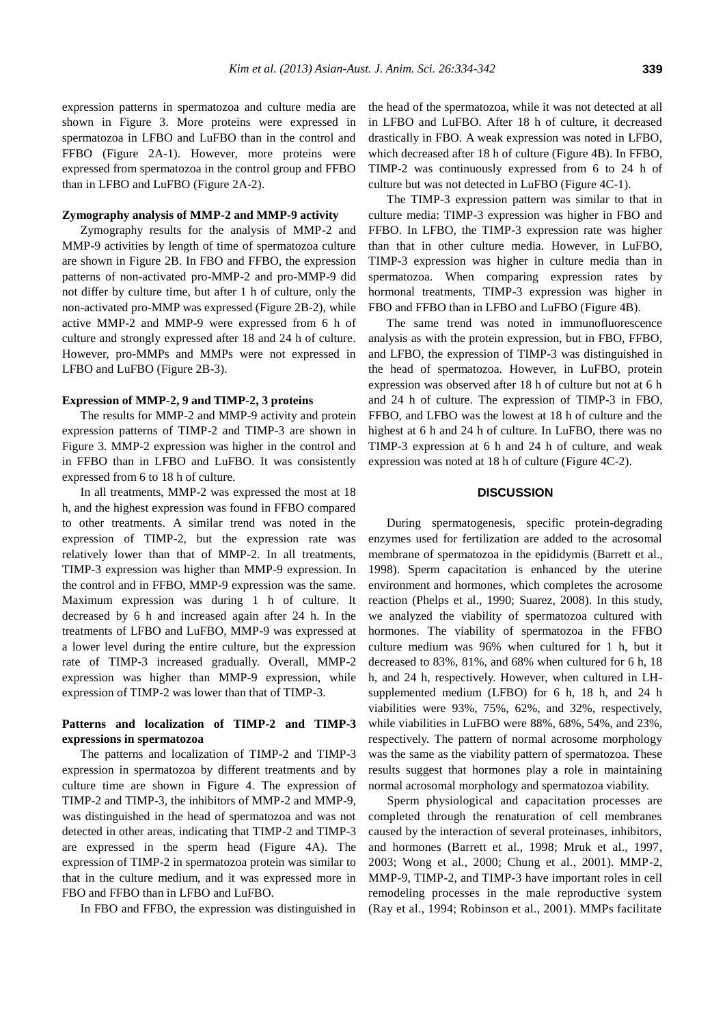expression patterns in spermatozoa and culture media are shown in Figure 3. More proteins were expressed in spermatozoa in LFBO and LuFBO than in the control and FFBO (Figure 2A-1). However, more proteins were expressed from spermatozoa in the control group and FFBO than in LFBO and LuFBO (Figure 2A-2).

#### **Zymography analysis of MMP-2 and MMP-9 activity**

Zymography results for the analysis of MMP-2 and MMP-9 activities by length of time of spermatozoa culture are shown in Figure 2B. In FBO and FFBO, the expression patterns of non-activated pro-MMP-2 and pro-MMP-9 did not differ by culture time, but after 1 h of culture, only the non-activated pro-MMP was expressed (Figure 2B-2), while active MMP-2 and MMP-9 were expressed from 6 h of culture and strongly expressed after 18 and 24 h of culture. However, pro-MMPs and MMPs were not expressed in LFBO and LuFBO (Figure 2B-3).

#### **Expression of MMP-2, 9 and TIMP-2, 3 proteins**

The results for MMP-2 and MMP-9 activity and protein expression patterns of TIMP-2 and TIMP-3 are shown in Figure 3. MMP-2 expression was higher in the control and in FFBO than in LFBO and LuFBO. It was consistently expressed from 6 to 18 h of culture.

In all treatments, MMP-2 was expressed the most at 18 h, and the highest expression was found in FFBO compared to other treatments. A similar trend was noted in the expression of TIMP-2, but the expression rate was relatively lower than that of MMP-2. In all treatments, TIMP-3 expression was higher than MMP-9 expression. In the control and in FFBO, MMP-9 expression was the same. Maximum expression was during 1 h of culture. It decreased by 6 h and increased again after 24 h. In the treatments of LFBO and LuFBO, MMP-9 was expressed at a lower level during the entire culture, but the expression rate of TIMP-3 increased gradually. Overall, MMP-2 expression was higher than MMP-9 expression, while expression of TIMP-2 was lower than that of TIMP-3.

### **Patterns and localization of TIMP-2 and TIMP-3 expressions in spermatozoa**

The patterns and localization of TIMP-2 and TIMP-3 expression in spermatozoa by different treatments and by culture time are shown in Figure 4. The expression of TIMP-2 and TIMP-3, the inhibitors of MMP-2 and MMP-9, was distinguished in the head of spermatozoa and was not detected in other areas, indicating that TIMP-2 and TIMP-3 are expressed in the sperm head (Figure 4A). The expression of TIMP-2 in spermatozoa protein was similar to that in the culture medium, and it was expressed more in FBO and FFBO than in LFBO and LuFBO.

In FBO and FFBO, the expression was distinguished in

the head of the spermatozoa, while it was not detected at all in LFBO and LuFBO. After 18 h of culture, it decreased drastically in FBO. A weak expression was noted in LFBO, which decreased after 18 h of culture (Figure 4B). In FFBO, TIMP-2 was continuously expressed from 6 to 24 h of culture but was not detected in LuFBO (Figure 4C-1).

The TIMP-3 expression pattern was similar to that in culture media: TIMP-3 expression was higher in FBO and FFBO. In LFBO, the TIMP-3 expression rate was higher than that in other culture media. However, in LuFBO, TIMP-3 expression was higher in culture media than in spermatozoa. When comparing expression rates by hormonal treatments, TIMP-3 expression was higher in FBO and FFBO than in LFBO and LuFBO (Figure 4B).

The same trend was noted in immunofluorescence analysis as with the protein expression, but in FBO, FFBO, and LFBO, the expression of TIMP-3 was distinguished in the head of spermatozoa. However, in LuFBO, protein expression was observed after 18 h of culture but not at 6 h and 24 h of culture. The expression of TIMP-3 in FBO, FFBO, and LFBO was the lowest at 18 h of culture and the highest at 6 h and 24 h of culture. In LuFBO, there was no TIMP-3 expression at 6 h and 24 h of culture, and weak expression was noted at 18 h of culture (Figure 4C-2).

#### **DISCUSSION**

During spermatogenesis, specific protein-degrading enzymes used for fertilization are added to the acrosomal membrane of spermatozoa in the epididymis (Barrett et al., 1998). Sperm capacitation is enhanced by the uterine environment and hormones, which completes the acrosome reaction (Phelps et al., 1990; Suarez, 2008). In this study, we analyzed the viability of spermatozoa cultured with hormones. The viability of spermatozoa in the FFBO culture medium was 96% when cultured for 1 h, but it decreased to 83%, 81%, and 68% when cultured for 6 h, 18 h, and 24 h, respectively. However, when cultured in LHsupplemented medium (LFBO) for 6 h, 18 h, and 24 h viabilities were 93%, 75%, 62%, and 32%, respectively, while viabilities in LuFBO were 88%, 68%, 54%, and 23%, respectively. The pattern of normal acrosome morphology was the same as the viability pattern of spermatozoa. These results suggest that hormones play a role in maintaining normal acrosomal morphology and spermatozoa viability.

Sperm physiological and capacitation processes are completed through the renaturation of cell membranes caused by the interaction of several proteinases, inhibitors, and hormones (Barrett et al., 1998; Mruk et al., 1997, 2003; Wong et al., 2000; Chung et al., 2001). MMP-2, MMP-9, TIMP-2, and TIMP-3 have important roles in cell remodeling processes in the male reproductive system (Ray et al., 1994; Robinson et al., 2001). MMPs facilitate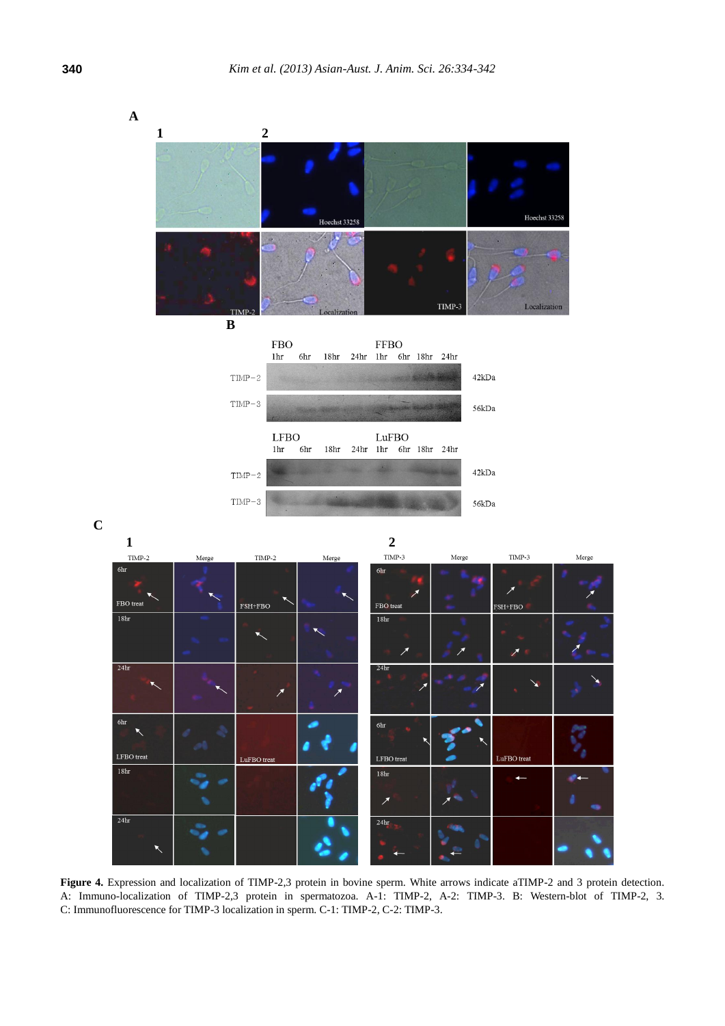

**Figure 4.** Expression and localization of TIMP-2,3 protein in bovine sperm. White arrows indicate aTIMP-2 and 3 protein detection. A: Immuno-localization of TIMP-2,3 protein in spermatozoa. A-1: TIMP-2, A-2: TIMP-3. B: Western-blot of TIMP-2, 3. C: Immunofluorescence for TIMP-3 localization in sperm. C-1: TIMP-2, C-2: TIMP-3.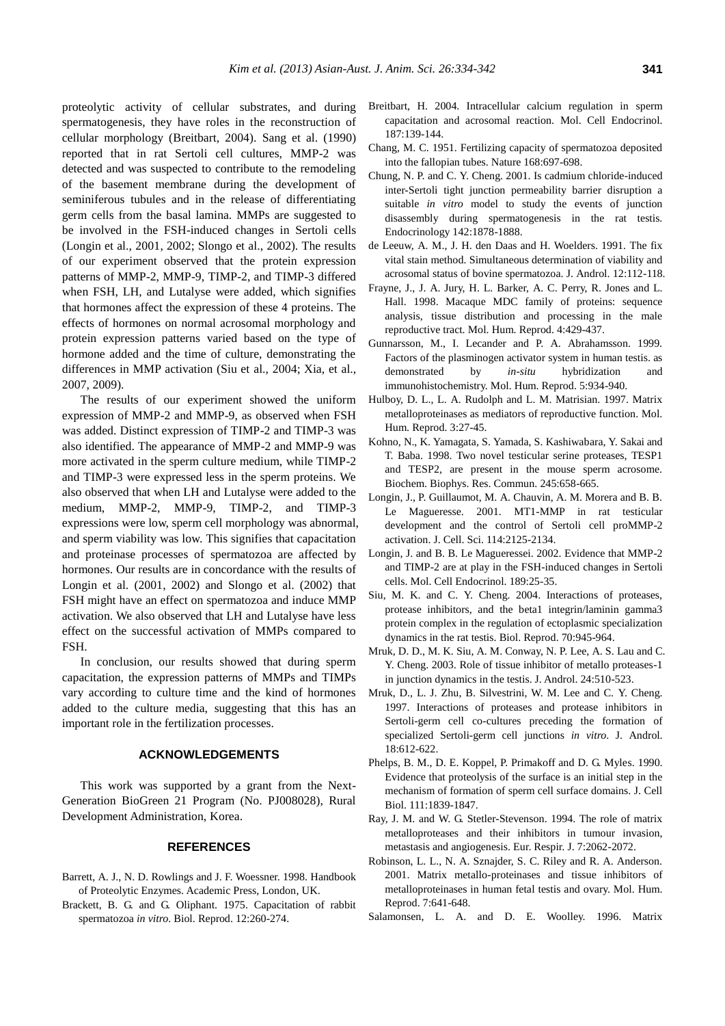proteolytic activity of cellular substrates, and during spermatogenesis, they have roles in the reconstruction of cellular morphology (Breitbart, 2004). Sang et al. (1990) reported that in rat Sertoli cell cultures, MMP-2 was detected and was suspected to contribute to the remodeling of the basement membrane during the development of seminiferous tubules and in the release of differentiating germ cells from the basal lamina. MMPs are suggested to be involved in the FSH-induced changes in Sertoli cells (Longin et al., 2001, 2002; Slongo et al., 2002). The results of our experiment observed that the protein expression patterns of MMP-2, MMP-9, TIMP-2, and TIMP-3 differed when FSH, LH, and Lutalyse were added, which signifies that hormones affect the expression of these 4 proteins. The effects of hormones on normal acrosomal morphology and protein expression patterns varied based on the type of hormone added and the time of culture, demonstrating the differences in MMP activation (Siu et al., 2004; Xia, et al., 2007, 2009).

The results of our experiment showed the uniform expression of MMP-2 and MMP-9, as observed when FSH was added. Distinct expression of TIMP-2 and TIMP-3 was also identified. The appearance of MMP-2 and MMP-9 was more activated in the sperm culture medium, while TIMP-2 and TIMP-3 were expressed less in the sperm proteins. We also observed that when LH and Lutalyse were added to the medium, MMP-2, MMP-9, TIMP-2, and TIMP-3 expressions were low, sperm cell morphology was abnormal, and sperm viability was low. This signifies that capacitation and proteinase processes of spermatozoa are affected by hormones. Our results are in concordance with the results of Longin et al. (2001, 2002) and Slongo et al. (2002) that FSH might have an effect on spermatozoa and induce MMP activation. We also observed that LH and Lutalyse have less effect on the successful activation of MMPs compared to FSH.

In conclusion, our results showed that during sperm capacitation, the expression patterns of MMPs and TIMPs vary according to culture time and the kind of hormones added to the culture media, suggesting that this has an important role in the fertilization processes.

### **ACKNOWLEDGEMENTS**

This work was supported by a grant from the Next-Generation BioGreen 21 Program (No. PJ008028), Rural Development Administration, Korea.

### **REFERENCES**

- Barrett, A. J., N. D. Rowlings and J. F. Woessner. 1998. Handbook of Proteolytic Enzymes. Academic Press, London, UK.
- Brackett, B. G. and G. Oliphant. 1975. Capacitation of rabbit spermatozoa *in vitro*. Biol. Reprod. 12:260-274.
- Breitbart, H. 2004. Intracellular calcium regulation in sperm capacitation and acrosomal reaction. Mol. Cell Endocrinol. 187:139-144.
- Chang, M. C. 1951. Fertilizing capacity of spermatozoa deposited into the fallopian tubes. Nature 168:697-698.
- Chung, N. P. and C. Y. Cheng. 2001. Is cadmium chloride-induced inter-Sertoli tight junction permeability barrier disruption a suitable *in vitro* model to study the events of junction disassembly during spermatogenesis in the rat testis. Endocrinology 142:1878-1888.
- de Leeuw, A. M., J. H. den Daas and H. Woelders. 1991. The fix vital stain method. Simultaneous determination of viability and acrosomal status of bovine spermatozoa. J. Androl. 12:112-118.
- Frayne, J., J. A. Jury, H. L. Barker, A. C. Perry, R. Jones and L. Hall. 1998. Macaque MDC family of proteins: sequence analysis, tissue distribution and processing in the male reproductive tract. Mol. Hum. Reprod. 4:429-437.
- Gunnarsson, M., I. Lecander and P. A. Abrahamsson. 1999. Factors of the plasminogen activator system in human testis. as demonstrated by *in-situ* hybridization and immunohistochemistry. Mol. Hum. Reprod. 5:934-940.
- Hulboy, D. L., L. A. Rudolph and L. M. Matrisian. 1997. Matrix metalloproteinases as mediators of reproductive function. Mol. Hum. Reprod. 3:27-45.
- Kohno, N., K. Yamagata, S. Yamada, S. Kashiwabara, Y. Sakai and T. Baba. 1998. Two novel testicular serine proteases, TESP1 and TESP2, are present in the mouse sperm acrosome. Biochem. Biophys. Res. Commun. 245:658-665.
- Longin, J., P. Guillaumot, M. A. Chauvin, A. M. Morera and B. B. Le Magueresse. 2001. MT1-MMP in rat testicular development and the control of Sertoli cell proMMP-2 activation. J. Cell. Sci. 114:2125-2134.
- Longin, J. and B. B. Le Magueressei. 2002. Evidence that MMP-2 and TIMP-2 are at play in the FSH-induced changes in Sertoli cells. Mol. Cell Endocrinol. 189:25-35.
- Siu, M. K. and C. Y. Cheng. 2004. Interactions of proteases, protease inhibitors, and the beta1 integrin/laminin gamma3 protein complex in the regulation of ectoplasmic specialization dynamics in the rat testis. Biol. Reprod. 70:945-964.
- Mruk, D. D., M. K. Siu, A. M. Conway, N. P. Lee, A. S. Lau and C. Y. Cheng. 2003. Role of tissue inhibitor of metallo proteases-1 in junction dynamics in the testis. J. Androl. 24:510-523.
- Mruk, D., L. J. Zhu, B. Silvestrini, W. M. Lee and C. Y. Cheng. 1997. Interactions of proteases and protease inhibitors in Sertoli-germ cell co-cultures preceding the formation of specialized Sertoli-germ cell junctions *in vitro*. J. Androl. 18:612-622.
- Phelps, B. M., D. E. Koppel, P. Primakoff and D. G. Myles. 1990. Evidence that proteolysis of the surface is an initial step in the mechanism of formation of sperm cell surface domains. J. Cell Biol. 111:1839-1847.
- Ray, J. M. and W. G. Stetler-Stevenson. 1994. The role of matrix metalloproteases and their inhibitors in tumour invasion, metastasis and angiogenesis. Eur. Respir. J. 7:2062-2072.
- Robinson, L. L., N. A. Sznajder, S. C. Riley and R. A. Anderson. 2001. Matrix metallo-proteinases and tissue inhibitors of metalloproteinases in human fetal testis and ovary. Mol. Hum. Reprod. 7:641-648.
- Salamonsen, L. A. and D. E. Woolley. 1996. Matrix